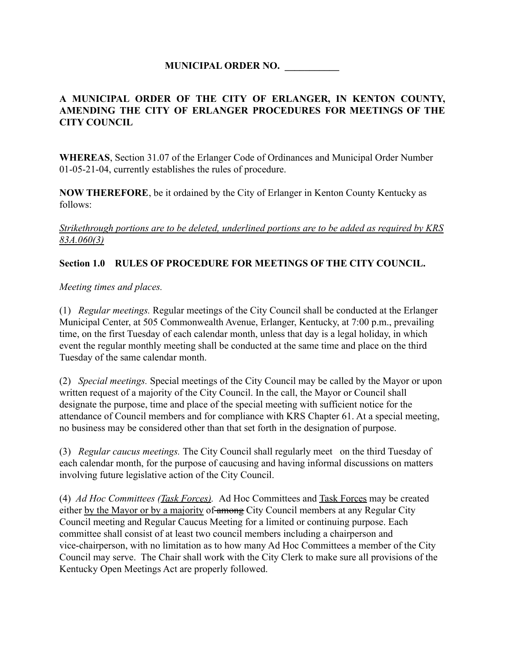## **MUNICIPAL ORDER NO. \_\_\_\_\_\_\_\_\_\_\_**

## **A MUNICIPAL ORDER OF THE CITY OF ERLANGER, IN KENTON COUNTY, AMENDING THE CITY OF ERLANGER PROCEDURES FOR MEETINGS OF THE CITY COUNCIL**

**WHEREAS**, Section 31.07 of the Erlanger Code of Ordinances and Municipal Order Number 01-05-21-04, currently establishes the rules of procedure.

**NOW THEREFORE**, be it ordained by the City of Erlanger in Kenton County Kentucky as follows:

#### *Strikethrough portions are to be deleted, underlined portions are to be added as required by KRS 83A.060(3)*

#### **Section 1.0 RULES OF PROCEDURE FOR MEETINGS OF THE CITY COUNCIL.**

*Meeting times and places.*

(1) *Regular meetings.* Regular meetings of the City Council shall be conducted at the Erlanger Municipal Center, at 505 Commonwealth Avenue, Erlanger, Kentucky, at 7:00 p.m., prevailing time, on the first Tuesday of each calendar month, unless that day is a legal holiday, in which event the regular monthly meeting shall be conducted at the same time and place on the third Tuesday of the same calendar month.

(2) *Special meetings.* Special meetings of the City Council may be called by the Mayor or upon written request of a majority of the City Council. In the call, the Mayor or Council shall designate the purpose, time and place of the special meeting with sufficient notice for the attendance of Council members and for compliance with KRS Chapter 61. At a special meeting, no business may be considered other than that set forth in the designation of purpose.

(3) *Regular caucus meetings.* The City Council shall regularly meet on the third Tuesday of each calendar month, for the purpose of caucusing and having informal discussions on matters involving future legislative action of the City Council.

(4) *Ad Hoc Committees (Task Forces).* Ad Hoc Committees and Task Forces may be created either by the Mayor or by a majority of among City Council members at any Regular City Council meeting and Regular Caucus Meeting for a limited or continuing purpose. Each committee shall consist of at least two council members including a chairperson and vice-chairperson, with no limitation as to how many Ad Hoc Committees a member of the City Council may serve. The Chair shall work with the City Clerk to make sure all provisions of the Kentucky Open Meetings Act are properly followed.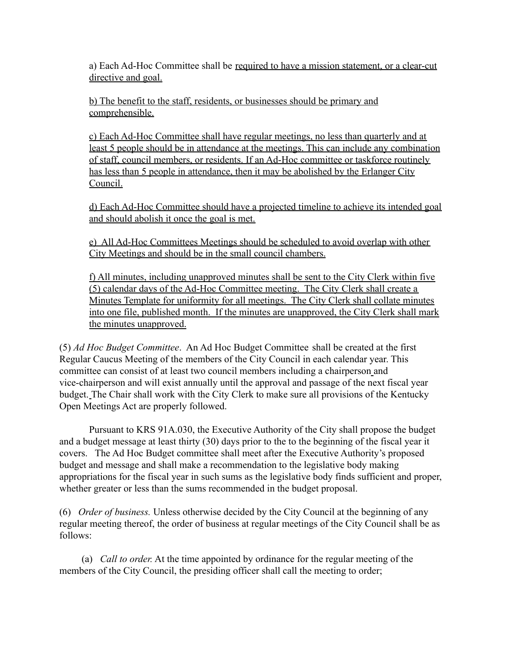a) Each Ad-Hoc Committee shall be required to have a mission statement, or a clear-cut directive and goal.

b) The benefit to the staff, residents, or businesses should be primary and comprehensible.

c) Each Ad-Hoc Committee shall have regular meetings, no less than quarterly and at least 5 people should be in attendance at the meetings. This can include any combination of staff, council members, or residents. If an Ad-Hoc committee or taskforce routinely has less than 5 people in attendance, then it may be abolished by the Erlanger City Council.

d) Each Ad-Hoc Committee should have a projected timeline to achieve its intended goal and should abolish it once the goal is met.

e) All Ad-Hoc Committees Meetings should be scheduled to avoid overlap with other City Meetings and should be in the small council chambers.

f) All minutes, including unapproved minutes shall be sent to the City Clerk within five (5) calendar days of the Ad-Hoc Committee meeting. The City Clerk shall create a Minutes Template for uniformity for all meetings. The City Clerk shall collate minutes into one file, published month. If the minutes are unapproved, the City Clerk shall mark the minutes unapproved.

(5) *Ad Hoc Budget Committee*. An Ad Hoc Budget Committee shall be created at the first Regular Caucus Meeting of the members of the City Council in each calendar year. This committee can consist of at least two council members including a chairperson and vice-chairperson and will exist annually until the approval and passage of the next fiscal year budget. The Chair shall work with the City Clerk to make sure all provisions of the Kentucky Open Meetings Act are properly followed.

Pursuant to KRS 91A.030, the Executive Authority of the City shall propose the budget and a budget message at least thirty (30) days prior to the to the beginning of the fiscal year it covers. The Ad Hoc Budget committee shall meet after the Executive Authority's proposed budget and message and shall make a recommendation to the legislative body making appropriations for the fiscal year in such sums as the legislative body finds sufficient and proper, whether greater or less than the sums recommended in the budget proposal.

(6) *Order of business.* Unless otherwise decided by the City Council at the beginning of any regular meeting thereof, the order of business at regular meetings of the City Council shall be as follows:

(a) *Call to order.* At the time appointed by ordinance for the regular meeting of the members of the City Council, the presiding officer shall call the meeting to order;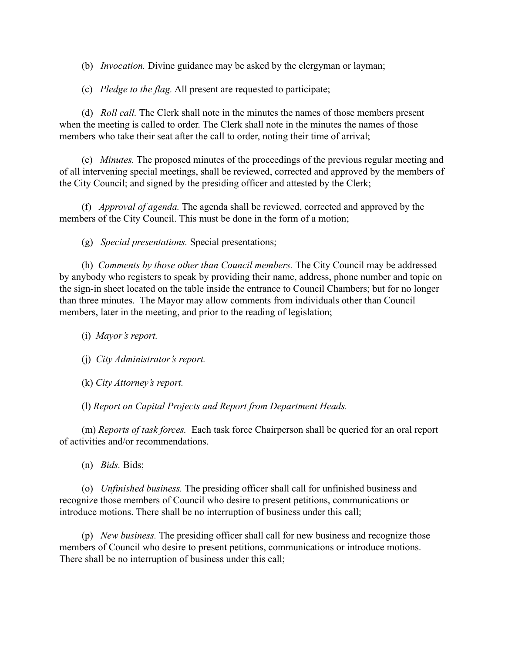(b) *Invocation.* Divine guidance may be asked by the clergyman or layman;

(c) *Pledge to the flag.* All present are requested to participate;

(d) *Roll call.* The Clerk shall note in the minutes the names of those members present when the meeting is called to order. The Clerk shall note in the minutes the names of those members who take their seat after the call to order, noting their time of arrival;

(e) *Minutes.* The proposed minutes of the proceedings of the previous regular meeting and of all intervening special meetings, shall be reviewed, corrected and approved by the members of the City Council; and signed by the presiding officer and attested by the Clerk;

(f) *Approval of agenda.* The agenda shall be reviewed, corrected and approved by the members of the City Council. This must be done in the form of a motion;

(g) *Special presentations.* Special presentations;

(h) *Comments by those other than Council members.* The City Council may be addressed by anybody who registers to speak by providing their name, address, phone number and topic on the sign-in sheet located on the table inside the entrance to Council Chambers; but for no longer than three minutes. The Mayor may allow comments from individuals other than Council members, later in the meeting, and prior to the reading of legislation;

(i) *Mayor's report.*

(j) *City Administrator's report.*

(k) *City Attorney's report.*

(l) *Report on Capital Projects and Report from Department Heads.*

(m) *Reports of task forces.* Each task force Chairperson shall be queried for an oral report of activities and/or recommendations.

(n) *Bids.* Bids;

(o) *Unfinished business.* The presiding officer shall call for unfinished business and recognize those members of Council who desire to present petitions, communications or introduce motions. There shall be no interruption of business under this call;

(p) *New business.* The presiding officer shall call for new business and recognize those members of Council who desire to present petitions, communications or introduce motions. There shall be no interruption of business under this call;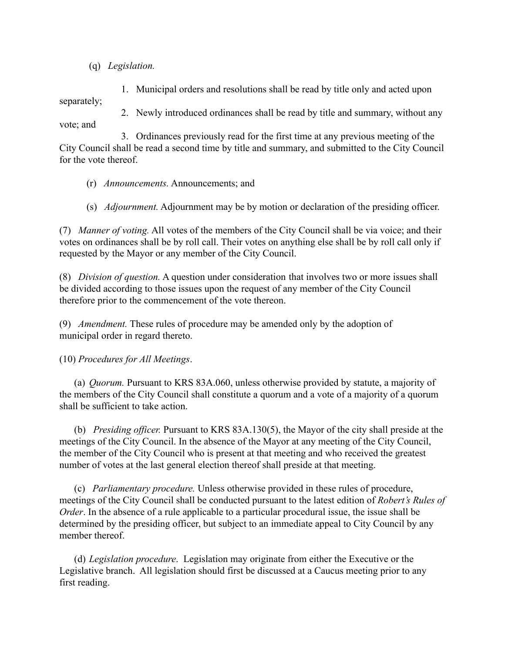(q) *Legislation.*

1. Municipal orders and resolutions shall be read by title only and acted upon separately;

2. Newly introduced ordinances shall be read by title and summary, without any vote; and

3. Ordinances previously read for the first time at any previous meeting of the City Council shall be read a second time by title and summary, and submitted to the City Council for the vote thereof.

- (r) *Announcements.* Announcements; and
- (s) *Adjournment.* Adjournment may be by motion or declaration of the presiding officer.

(7) *Manner of voting.* All votes of the members of the City Council shall be via voice; and their votes on ordinances shall be by roll call. Their votes on anything else shall be by roll call only if requested by the Mayor or any member of the City Council.

(8) *Division of question.* A question under consideration that involves two or more issues shall be divided according to those issues upon the request of any member of the City Council therefore prior to the commencement of the vote thereon.

(9) *Amendment.* These rules of procedure may be amended only by the adoption of municipal order in regard thereto.

(10) *Procedures for All Meetings*.

(a) *Quorum.* Pursuant to KRS 83A.060, unless otherwise provided by statute, a majority of the members of the City Council shall constitute a quorum and a vote of a majority of a quorum shall be sufficient to take action.

(b) *Presiding officer.* Pursuant to KRS 83A.130(5), the Mayor of the city shall preside at the meetings of the City Council. In the absence of the Mayor at any meeting of the City Council, the member of the City Council who is present at that meeting and who received the greatest number of votes at the last general election thereof shall preside at that meeting.

(c) *Parliamentary procedure.* Unless otherwise provided in these rules of procedure, meetings of the City Council shall be conducted pursuant to the latest edition of *Robert's Rules of Order*. In the absence of a rule applicable to a particular procedural issue, the issue shall be determined by the presiding officer, but subject to an immediate appeal to City Council by any member thereof.

(d) *Legislation procedure*. Legislation may originate from either the Executive or the Legislative branch. All legislation should first be discussed at a Caucus meeting prior to any first reading.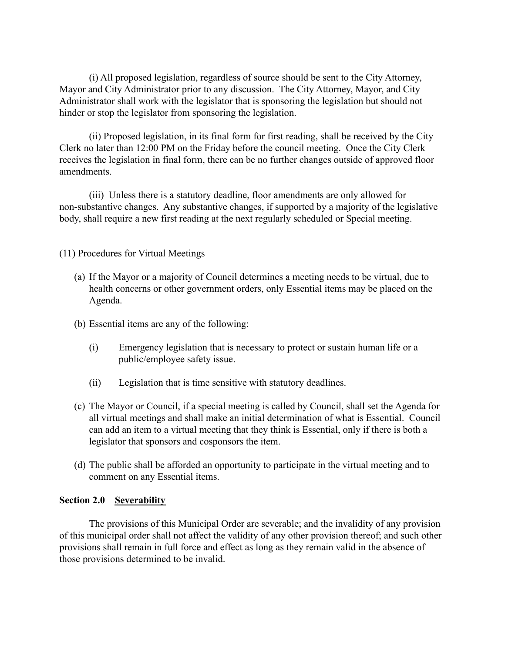(i) All proposed legislation, regardless of source should be sent to the City Attorney, Mayor and City Administrator prior to any discussion. The City Attorney, Mayor, and City Administrator shall work with the legislator that is sponsoring the legislation but should not hinder or stop the legislator from sponsoring the legislation.

(ii) Proposed legislation, in its final form for first reading, shall be received by the City Clerk no later than 12:00 PM on the Friday before the council meeting. Once the City Clerk receives the legislation in final form, there can be no further changes outside of approved floor amendments.

(iii) Unless there is a statutory deadline, floor amendments are only allowed for non-substantive changes. Any substantive changes, if supported by a majority of the legislative body, shall require a new first reading at the next regularly scheduled or Special meeting.

(11) Procedures for Virtual Meetings

- (a) If the Mayor or a majority of Council determines a meeting needs to be virtual, due to health concerns or other government orders, only Essential items may be placed on the Agenda.
- (b) Essential items are any of the following:
	- (i) Emergency legislation that is necessary to protect or sustain human life or a public/employee safety issue.
	- (ii) Legislation that is time sensitive with statutory deadlines.
- (c) The Mayor or Council, if a special meeting is called by Council, shall set the Agenda for all virtual meetings and shall make an initial determination of what is Essential. Council can add an item to a virtual meeting that they think is Essential, only if there is both a legislator that sponsors and cosponsors the item.
- (d) The public shall be afforded an opportunity to participate in the virtual meeting and to comment on any Essential items.

#### **Section 2.0 Severability**

The provisions of this Municipal Order are severable; and the invalidity of any provision of this municipal order shall not affect the validity of any other provision thereof; and such other provisions shall remain in full force and effect as long as they remain valid in the absence of those provisions determined to be invalid.